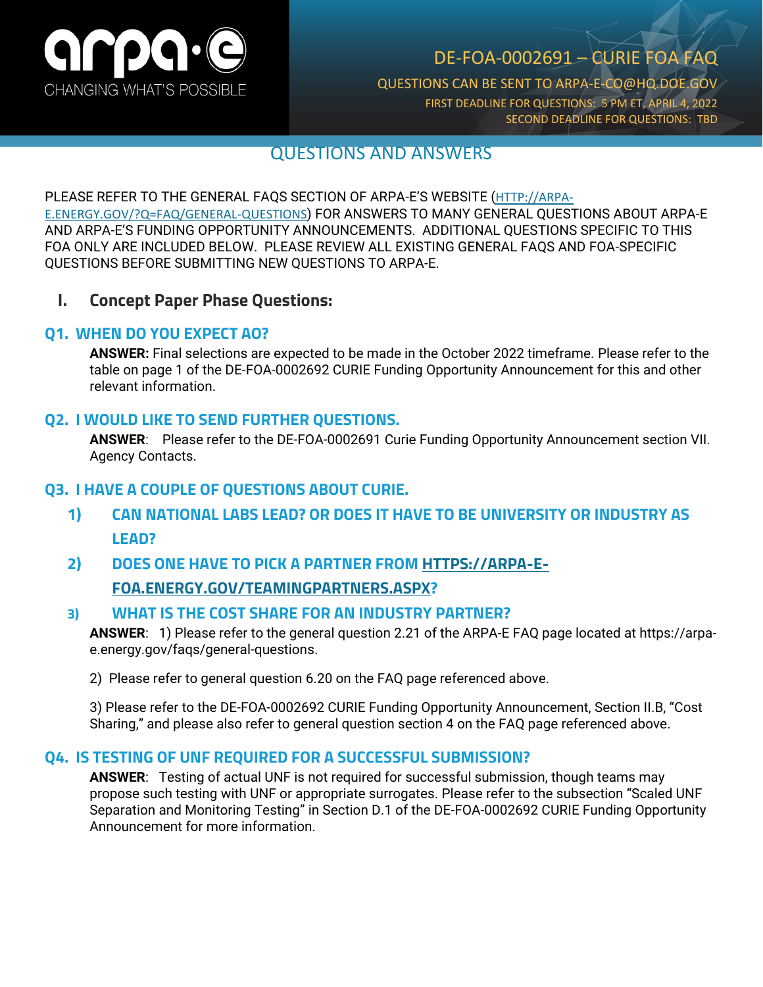

## DE-FOA-0002691 – CURIE FOA FAQ

QUESTIONS CAN BE SENT TO ARPA-E-CO@HQ.DOE.GOV FIRST DEADLINE FOR QUESTIONS: 5 PM ET, APRIL 4, 2022 SECOND DEADLINE FOR QUESTIONS: TBD

### QUESTIONS AND ANSWERS

#### PLEASE REFER TO THE GENERAL FAQS SECTION OF ARPA-E'S WEBSITE ([HTTP://ARPA-](http://arpa-e.energy.gov/?Q=FAQ/GENERAL-QUESTIONS)

[E.ENERGY.GOV/?Q=FAQ/GENERAL-QUESTIONS](http://arpa-e.energy.gov/?Q=FAQ/GENERAL-QUESTIONS)) FOR ANSWERS TO MANY GENERAL QUESTIONS ABOUT ARPA-E AND ARPA-E'S FUNDING OPPORTUNITY ANNOUNCEMENTS. ADDITIONAL QUESTIONS SPECIFIC TO THIS FOA ONLY ARE INCLUDED BELOW. PLEASE REVIEW ALL EXISTING GENERAL FAQS AND FOA-SPECIFIC QUESTIONS BEFORE SUBMITTING NEW QUESTIONS TO ARPA-E.

#### **I. Concept Paper Phase Questions:**

#### **Q1. WHEN DO YOU EXPECT AO?**

**ANSWER:** Final selections are expected to be made in the October 2022 timeframe. Please refer to the table on page 1 of the DE-FOA-0002692 CURIE Funding Opportunity Announcement for this and other relevant information.

#### **Q2. I WOULD LIKE TO SEND FURTHER QUESTIONS.**

**ANSWER**: Please refer to the DE-FOA-0002691 Curie Funding Opportunity Announcement section VII. Agency Contacts.

#### **Q3. I HAVE A COUPLE OF QUESTIONS ABOUT CURIE.**

- **1) CAN NATIONAL LABS LEAD? OR DOES IT HAVE TO BE UNIVERSITY OR INDUSTRY AS LEAD?**
- **2) DOES ONE HAVE TO PICK A PARTNER FROM [HTTPS://ARPA-E-](https://arpa-e-foa.energy.gov/TeamingPartners.aspx)[FOA.ENERGY.GOV/TEAMINGPARTNERS.ASPX?](https://arpa-e-foa.energy.gov/TeamingPartners.aspx)**

#### **3) WHAT IS THE COST SHARE FOR AN INDUSTRY PARTNER?**

**ANSWER**: 1) Please refer to the general question 2.21 of the ARPA-E FAQ page located at https://arpae.energy.gov/faqs/general-questions.

2) Please refer to general question 6.20 on the FAQ page referenced above.

3) Please refer to the DE-FOA-0002692 CURIE Funding Opportunity Announcement, Section II.B, "Cost Sharing," and please also refer to general question section 4 on the FAQ page referenced above.

#### **Q4. IS TESTING OF UNF REQUIRED FOR A SUCCESSFUL SUBMISSION?**

**ANSWER**: Testing of actual UNF is not required for successful submission, though teams may propose such testing with UNF or appropriate surrogates. Please refer to the subsection "Scaled UNF Separation and Monitoring Testing" in Section D.1 of the DE-FOA-0002692 CURIE Funding Opportunity Announcement for more information.